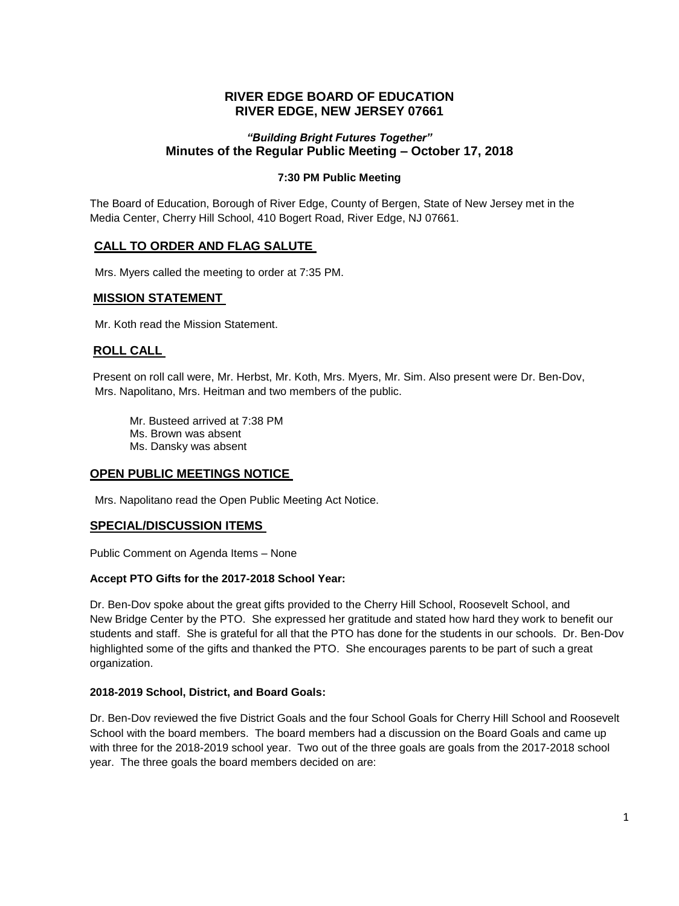# **RIVER EDGE BOARD OF EDUCATION RIVER EDGE, NEW JERSEY 07661**

# *"Building Bright Futures Together"* **Minutes of the Regular Public Meeting – October 17, 2018**

### **7:30 PM Public Meeting**

The Board of Education, Borough of River Edge, County of Bergen, State of New Jersey met in the Media Center, Cherry Hill School, 410 Bogert Road, River Edge, NJ 07661.

## **CALL TO ORDER AND FLAG SALUTE**

Mrs. Myers called the meeting to order at 7:35 PM.

### **MISSION STATEMENT**

Mr. Koth read the Mission Statement.

## **ROLL CALL**

Present on roll call were, Mr. Herbst, Mr. Koth, Mrs. Myers, Mr. Sim. Also present were Dr. Ben-Dov, Mrs. Napolitano, Mrs. Heitman and two members of the public.

Mr. Busteed arrived at 7:38 PM Ms. Brown was absent Ms. Dansky was absent

#### **OPEN PUBLIC MEETINGS NOTICE**

Mrs. Napolitano read the Open Public Meeting Act Notice.

#### **SPECIAL/DISCUSSION ITEMS**

Public Comment on Agenda Items – None

#### **Accept PTO Gifts for the 2017-2018 School Year:**

Dr. Ben-Dov spoke about the great gifts provided to the Cherry Hill School, Roosevelt School, and New Bridge Center by the PTO. She expressed her gratitude and stated how hard they work to benefit our students and staff. She is grateful for all that the PTO has done for the students in our schools. Dr. Ben-Dov highlighted some of the gifts and thanked the PTO. She encourages parents to be part of such a great organization.

#### **2018-2019 School, District, and Board Goals:**

Dr. Ben-Dov reviewed the five District Goals and the four School Goals for Cherry Hill School and Roosevelt School with the board members. The board members had a discussion on the Board Goals and came up with three for the 2018-2019 school year. Two out of the three goals are goals from the 2017-2018 school year. The three goals the board members decided on are: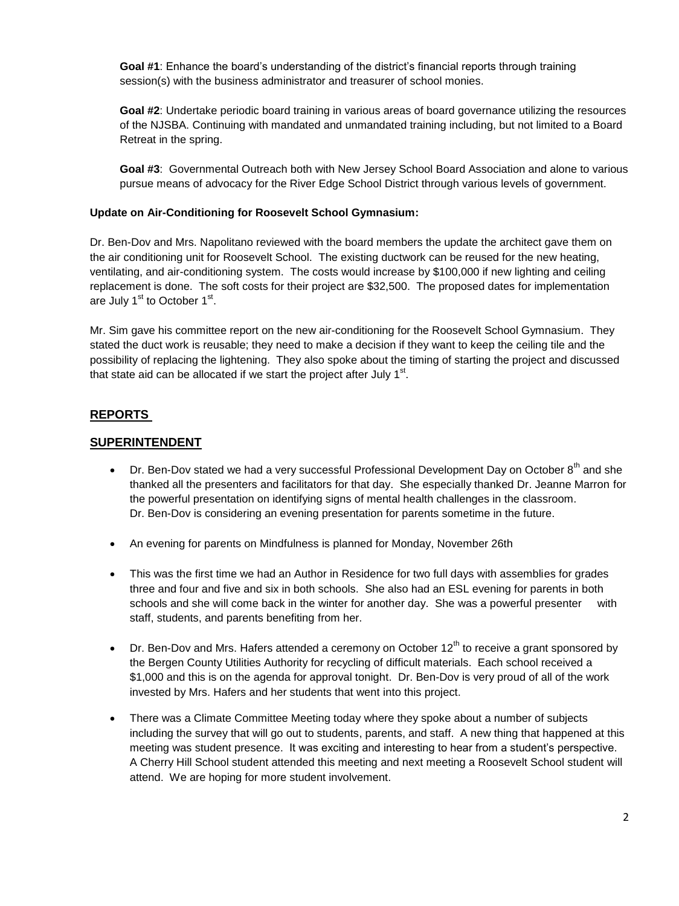**Goal #1**: Enhance the board's understanding of the district's financial reports through training session(s) with the business administrator and treasurer of school monies.

**Goal #2**: Undertake periodic board training in various areas of board governance utilizing the resources of the NJSBA. Continuing with mandated and unmandated training including, but not limited to a Board Retreat in the spring.

**Goal #3**: Governmental Outreach both with New Jersey School Board Association and alone to various pursue means of advocacy for the River Edge School District through various levels of government.

#### **Update on Air-Conditioning for Roosevelt School Gymnasium:**

Dr. Ben-Dov and Mrs. Napolitano reviewed with the board members the update the architect gave them on the air conditioning unit for Roosevelt School. The existing ductwork can be reused for the new heating, ventilating, and air-conditioning system. The costs would increase by \$100,000 if new lighting and ceiling replacement is done. The soft costs for their project are \$32,500. The proposed dates for implementation are July 1<sup>st</sup> to October 1<sup>st</sup>.

Mr. Sim gave his committee report on the new air-conditioning for the Roosevelt School Gymnasium. They stated the duct work is reusable; they need to make a decision if they want to keep the ceiling tile and the possibility of replacing the lightening. They also spoke about the timing of starting the project and discussed that state aid can be allocated if we start the project after July 1 $^{\rm st}$ .

# **REPORTS**

## **SUPERINTENDENT**

- Dr. Ben-Dov stated we had a very successful Professional Development Day on October  $8<sup>th</sup>$  and she thanked all the presenters and facilitators for that day. She especially thanked Dr. Jeanne Marron for the powerful presentation on identifying signs of mental health challenges in the classroom. Dr. Ben-Dov is considering an evening presentation for parents sometime in the future.
- An evening for parents on Mindfulness is planned for Monday, November 26th
- This was the first time we had an Author in Residence for two full days with assemblies for grades three and four and five and six in both schools. She also had an ESL evening for parents in both schools and she will come back in the winter for another day. She was a powerful presenter with staff, students, and parents benefiting from her.
- Dr. Ben-Dov and Mrs. Hafers attended a ceremony on October  $12^{th}$  to receive a grant sponsored by the Bergen County Utilities Authority for recycling of difficult materials. Each school received a \$1,000 and this is on the agenda for approval tonight. Dr. Ben-Dov is very proud of all of the work invested by Mrs. Hafers and her students that went into this project.
- There was a Climate Committee Meeting today where they spoke about a number of subjects including the survey that will go out to students, parents, and staff. A new thing that happened at this meeting was student presence. It was exciting and interesting to hear from a student's perspective. A Cherry Hill School student attended this meeting and next meeting a Roosevelt School student will attend. We are hoping for more student involvement.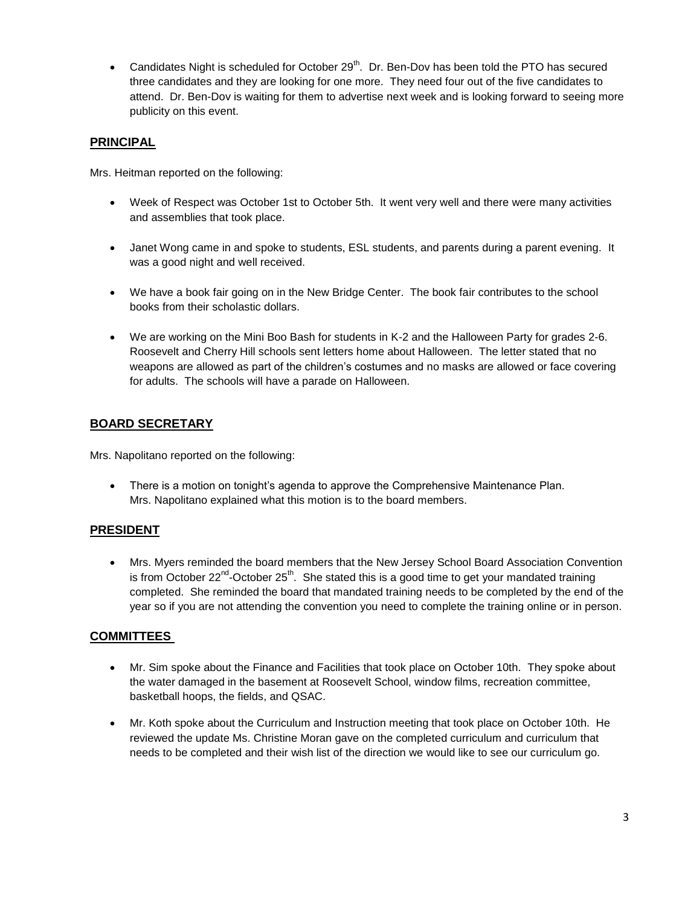• Candidates Night is scheduled for October  $29<sup>th</sup>$ . Dr. Ben-Dov has been told the PTO has secured three candidates and they are looking for one more. They need four out of the five candidates to attend. Dr. Ben-Dov is waiting for them to advertise next week and is looking forward to seeing more publicity on this event.

# **PRINCIPAL**

Mrs. Heitman reported on the following:

- Week of Respect was October 1st to October 5th. It went very well and there were many activities and assemblies that took place.
- Janet Wong came in and spoke to students, ESL students, and parents during a parent evening. It was a good night and well received.
- We have a book fair going on in the New Bridge Center. The book fair contributes to the school books from their scholastic dollars.
- We are working on the Mini Boo Bash for students in K-2 and the Halloween Party for grades 2-6. Roosevelt and Cherry Hill schools sent letters home about Halloween. The letter stated that no weapons are allowed as part of the children's costumes and no masks are allowed or face covering for adults. The schools will have a parade on Halloween.

# **BOARD SECRETARY**

Mrs. Napolitano reported on the following:

 There is a motion on tonight's agenda to approve the Comprehensive Maintenance Plan. Mrs. Napolitano explained what this motion is to the board members.

# **PRESIDENT**

 Mrs. Myers reminded the board members that the New Jersey School Board Association Convention is from October 22<sup>nd</sup>-October 25<sup>th</sup>. She stated this is a good time to get your mandated training completed. She reminded the board that mandated training needs to be completed by the end of the year so if you are not attending the convention you need to complete the training online or in person.

# **COMMITTEES**

- Mr. Sim spoke about the Finance and Facilities that took place on October 10th. They spoke about the water damaged in the basement at Roosevelt School, window films, recreation committee, basketball hoops, the fields, and QSAC.
- Mr. Koth spoke about the Curriculum and Instruction meeting that took place on October 10th. He reviewed the update Ms. Christine Moran gave on the completed curriculum and curriculum that needs to be completed and their wish list of the direction we would like to see our curriculum go.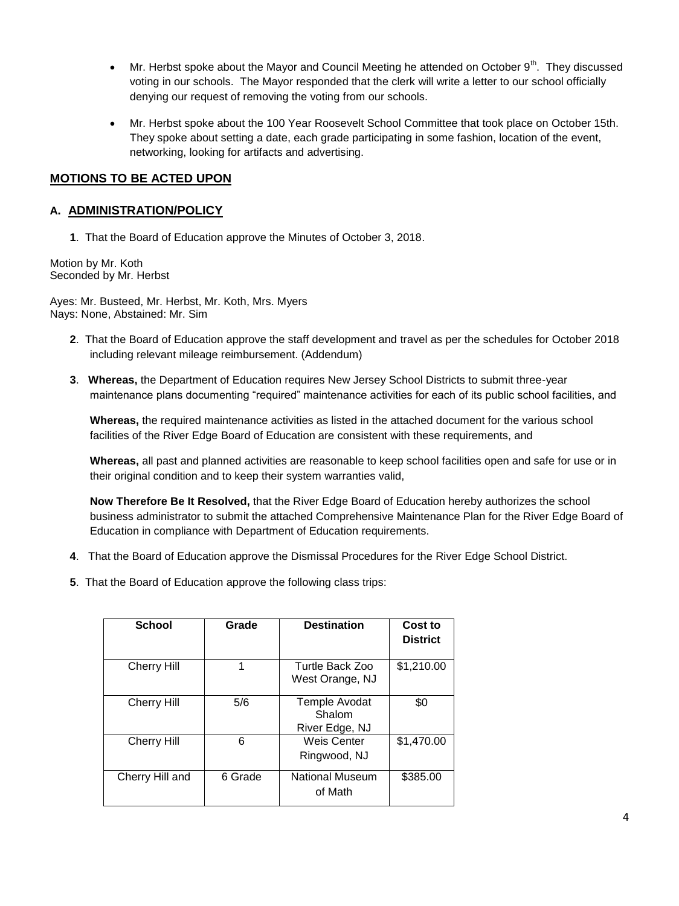- $\bullet$  Mr. Herbst spoke about the Mayor and Council Meeting he attended on October 9<sup>th</sup>. They discussed voting in our schools. The Mayor responded that the clerk will write a letter to our school officially denying our request of removing the voting from our schools.
- Mr. Herbst spoke about the 100 Year Roosevelt School Committee that took place on October 15th. They spoke about setting a date, each grade participating in some fashion, location of the event, networking, looking for artifacts and advertising.

# **MOTIONS TO BE ACTED UPON**

## **A. ADMINISTRATION/POLICY**

**1**. That the Board of Education approve the Minutes of October 3, 2018.

Motion by Mr. Koth Seconded by Mr. Herbst

Ayes: Mr. Busteed, Mr. Herbst, Mr. Koth, Mrs. Myers Nays: None, Abstained: Mr. Sim

- **2**. That the Board of Education approve the staff development and travel as per the schedules for October 2018 including relevant mileage reimbursement. (Addendum)
- **3**. **Whereas,** the Department of Education requires New Jersey School Districts to submit three-year maintenance plans documenting "required" maintenance activities for each of its public school facilities, and

**Whereas,** the required maintenance activities as listed in the attached document for the various school facilities of the River Edge Board of Education are consistent with these requirements, and

**Whereas,** all past and planned activities are reasonable to keep school facilities open and safe for use or in their original condition and to keep their system warranties valid,

**Now Therefore Be It Resolved,** that the River Edge Board of Education hereby authorizes the school business administrator to submit the attached Comprehensive Maintenance Plan for the River Edge Board of Education in compliance with Department of Education requirements.

- **4**. That the Board of Education approve the Dismissal Procedures for the River Edge School District.
- **5**. That the Board of Education approve the following class trips:

| <b>School</b>      | Grade   | <b>Destination</b>                        | Cost to<br><b>District</b> |
|--------------------|---------|-------------------------------------------|----------------------------|
| <b>Cherry Hill</b> | 1       | Turtle Back Zoo<br>West Orange, NJ        | \$1,210.00                 |
| <b>Cherry Hill</b> | 5/6     | Temple Avodat<br>Shalom<br>River Edge, NJ | \$0                        |
| <b>Cherry Hill</b> | 6       | <b>Weis Center</b><br>Ringwood, NJ        | \$1,470.00                 |
| Cherry Hill and    | 6 Grade | <b>National Museum</b><br>of Math         | \$385.00                   |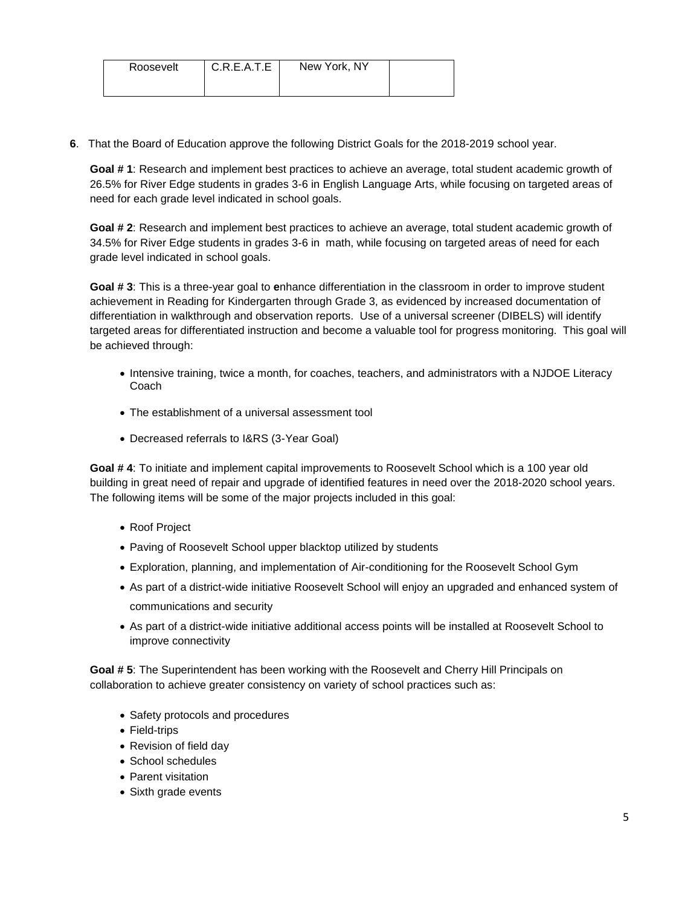| Roosevelt | C.R.E.A.T.E | New York, NY |  |
|-----------|-------------|--------------|--|
|           |             |              |  |

**6**. That the Board of Education approve the following District Goals for the 2018-2019 school year.

**Goal # 1**: Research and implement best practices to achieve an average, total student academic growth of 26.5% for River Edge students in grades 3-6 in English Language Arts, while focusing on targeted areas of need for each grade level indicated in school goals.

**Goal # 2**: Research and implement best practices to achieve an average, total student academic growth of 34.5% for River Edge students in grades 3-6 in math, while focusing on targeted areas of need for each grade level indicated in school goals.

**Goal # 3**: This is a three-year goal to **e**nhance differentiation in the classroom in order to improve student achievement in Reading for Kindergarten through Grade 3, as evidenced by increased documentation of differentiation in walkthrough and observation reports. Use of a universal screener (DIBELS) will identify targeted areas for differentiated instruction and become a valuable tool for progress monitoring. This goal will be achieved through:

- Intensive training, twice a month, for coaches, teachers, and administrators with a NJDOE Literacy Coach
- The establishment of a universal assessment tool
- Decreased referrals to I&RS (3-Year Goal)

**Goal # 4**: To initiate and implement capital improvements to Roosevelt School which is a 100 year old building in great need of repair and upgrade of identified features in need over the 2018-2020 school years. The following items will be some of the major projects included in this goal:

- Roof Project
- Paving of Roosevelt School upper blacktop utilized by students
- Exploration, planning, and implementation of Air-conditioning for the Roosevelt School Gym
- As part of a district-wide initiative Roosevelt School will enjoy an upgraded and enhanced system of communications and security
- As part of a district-wide initiative additional access points will be installed at Roosevelt School to improve connectivity

**Goal # 5**: The Superintendent has been working with the Roosevelt and Cherry Hill Principals on collaboration to achieve greater consistency on variety of school practices such as:

- Safety protocols and procedures
- Field-trips
- Revision of field day
- School schedules
- Parent visitation
- Sixth grade events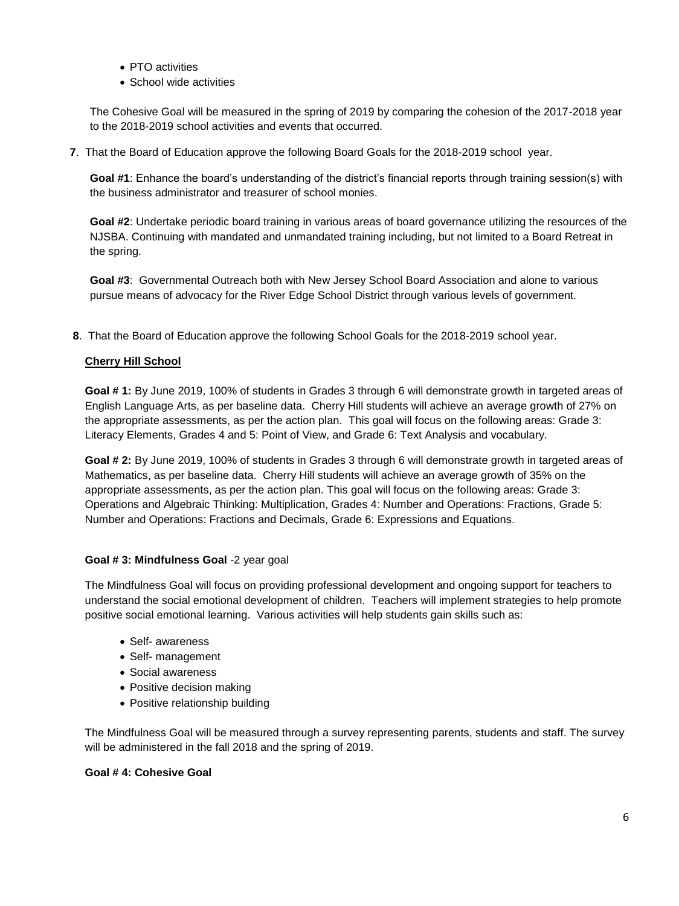- PTO activities
- School wide activities

The Cohesive Goal will be measured in the spring of 2019 by comparing the cohesion of the 2017-2018 year to the 2018-2019 school activities and events that occurred.

**7**. That the Board of Education approve the following Board Goals for the 2018-2019 school year.

**Goal #1**: Enhance the board's understanding of the district's financial reports through training session(s) with the business administrator and treasurer of school monies.

**Goal #2**: Undertake periodic board training in various areas of board governance utilizing the resources of the NJSBA. Continuing with mandated and unmandated training including, but not limited to a Board Retreat in the spring.

**Goal #3**: Governmental Outreach both with New Jersey School Board Association and alone to various pursue means of advocacy for the River Edge School District through various levels of government.

**8**. That the Board of Education approve the following School Goals for the 2018-2019 school year.

## **Cherry Hill School**

**Goal # 1:** By June 2019, 100% of students in Grades 3 through 6 will demonstrate growth in targeted areas of English Language Arts, as per baseline data. Cherry Hill students will achieve an average growth of 27% on the appropriate assessments, as per the action plan. This goal will focus on the following areas: Grade 3: Literacy Elements, Grades 4 and 5: Point of View, and Grade 6: Text Analysis and vocabulary.

**Goal # 2:** By June 2019, 100% of students in Grades 3 through 6 will demonstrate growth in targeted areas of Mathematics, as per baseline data. Cherry Hill students will achieve an average growth of 35% on the appropriate assessments, as per the action plan. This goal will focus on the following areas: Grade 3: Operations and Algebraic Thinking: Multiplication, Grades 4: Number and Operations: Fractions, Grade 5: Number and Operations: Fractions and Decimals, Grade 6: Expressions and Equations.

## **Goal # 3: Mindfulness Goal** -2 year goal

The Mindfulness Goal will focus on providing professional development and ongoing support for teachers to understand the social emotional development of children. Teachers will implement strategies to help promote positive social emotional learning. Various activities will help students gain skills such as:

- Self- awareness
- Self- management
- Social awareness
- Positive decision making
- Positive relationship building

The Mindfulness Goal will be measured through a survey representing parents, students and staff. The survey will be administered in the fall 2018 and the spring of 2019.

#### **Goal # 4: Cohesive Goal**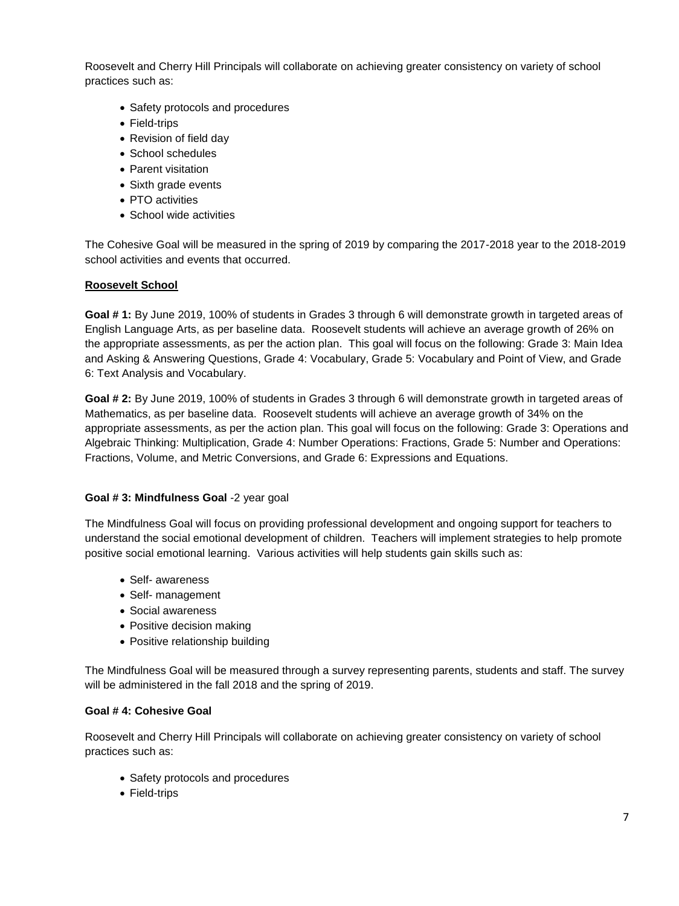Roosevelt and Cherry Hill Principals will collaborate on achieving greater consistency on variety of school practices such as:

- Safety protocols and procedures
- Field-trips
- Revision of field day
- School schedules
- Parent visitation
- Sixth grade events
- PTO activities
- School wide activities

The Cohesive Goal will be measured in the spring of 2019 by comparing the 2017-2018 year to the 2018-2019 school activities and events that occurred.

#### **Roosevelt School**

**Goal # 1:** By June 2019, 100% of students in Grades 3 through 6 will demonstrate growth in targeted areas of English Language Arts, as per baseline data. Roosevelt students will achieve an average growth of 26% on the appropriate assessments, as per the action plan. This goal will focus on the following: Grade 3: Main Idea and Asking & Answering Questions, Grade 4: Vocabulary, Grade 5: Vocabulary and Point of View, and Grade 6: Text Analysis and Vocabulary.

**Goal # 2:** By June 2019, 100% of students in Grades 3 through 6 will demonstrate growth in targeted areas of Mathematics, as per baseline data. Roosevelt students will achieve an average growth of 34% on the appropriate assessments, as per the action plan. This goal will focus on the following: Grade 3: Operations and Algebraic Thinking: Multiplication, Grade 4: Number Operations: Fractions, Grade 5: Number and Operations: Fractions, Volume, and Metric Conversions, and Grade 6: Expressions and Equations.

#### **Goal # 3: Mindfulness Goal** -2 year goal

The Mindfulness Goal will focus on providing professional development and ongoing support for teachers to understand the social emotional development of children. Teachers will implement strategies to help promote positive social emotional learning. Various activities will help students gain skills such as:

- Self- awareness
- Self- management
- Social awareness
- Positive decision making
- Positive relationship building

The Mindfulness Goal will be measured through a survey representing parents, students and staff. The survey will be administered in the fall 2018 and the spring of 2019.

#### **Goal # 4: Cohesive Goal**

Roosevelt and Cherry Hill Principals will collaborate on achieving greater consistency on variety of school practices such as:

- Safety protocols and procedures
- Field-trips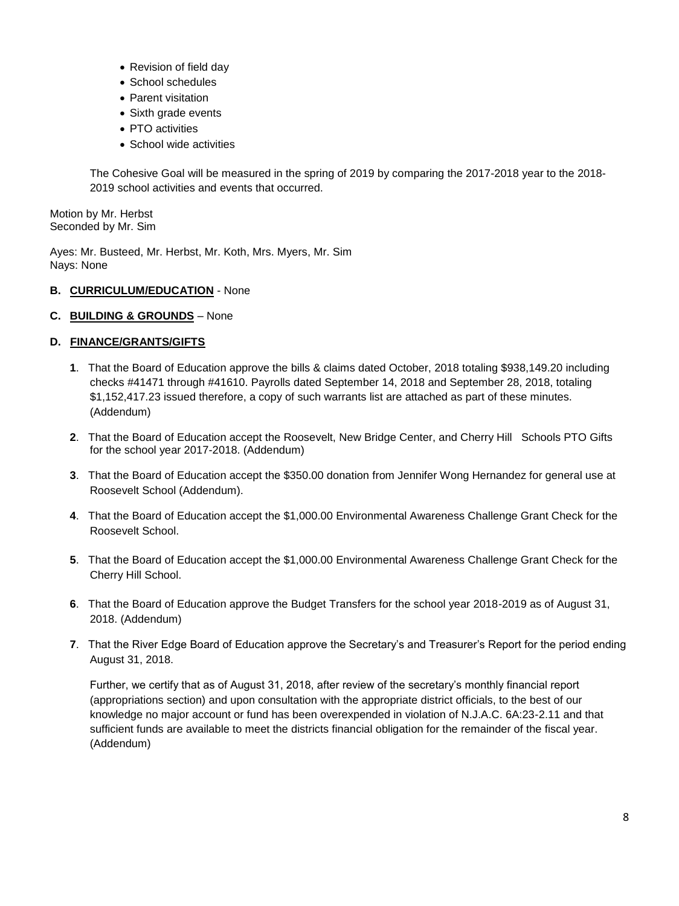- Revision of field day
- School schedules
- **Parent visitation**
- Sixth grade events
- PTO activities
- School wide activities

The Cohesive Goal will be measured in the spring of 2019 by comparing the 2017-2018 year to the 2018- 2019 school activities and events that occurred.

Motion by Mr. Herbst Seconded by Mr. Sim

Ayes: Mr. Busteed, Mr. Herbst, Mr. Koth, Mrs. Myers, Mr. Sim Nays: None

### **B. CURRICULUM/EDUCATION** - None

#### **C. BUILDING & GROUNDS** – None

### **D. FINANCE/GRANTS/GIFTS**

- **1**. That the Board of Education approve the bills & claims dated October, 2018 totaling \$938,149.20 including checks #41471 through #41610. Payrolls dated September 14, 2018 and September 28, 2018, totaling \$1,152,417.23 issued therefore, a copy of such warrants list are attached as part of these minutes. (Addendum)
- **2**. That the Board of Education accept the Roosevelt, New Bridge Center, and Cherry Hill Schools PTO Gifts for the school year 2017-2018. (Addendum)
- **3**. That the Board of Education accept the \$350.00 donation from Jennifer Wong Hernandez for general use at Roosevelt School (Addendum).
- **4**. That the Board of Education accept the \$1,000.00 Environmental Awareness Challenge Grant Check for the Roosevelt School.
- **5**. That the Board of Education accept the \$1,000.00 Environmental Awareness Challenge Grant Check for the Cherry Hill School.
- **6**. That the Board of Education approve the Budget Transfers for the school year 2018-2019 as of August 31, 2018. (Addendum)
- **7**. That the River Edge Board of Education approve the Secretary's and Treasurer's Report for the period ending August 31, 2018.

Further, we certify that as of August 31, 2018, after review of the secretary's monthly financial report (appropriations section) and upon consultation with the appropriate district officials, to the best of our knowledge no major account or fund has been overexpended in violation of N.J.A.C. 6A:23-2.11 and that sufficient funds are available to meet the districts financial obligation for the remainder of the fiscal year. (Addendum)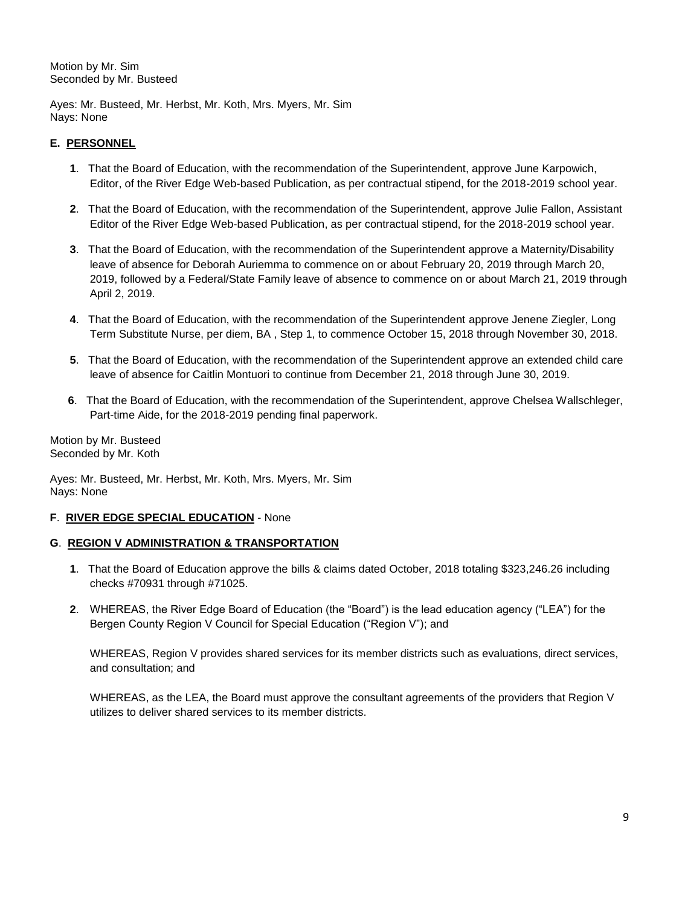Motion by Mr. Sim Seconded by Mr. Busteed

Ayes: Mr. Busteed, Mr. Herbst, Mr. Koth, Mrs. Myers, Mr. Sim Nays: None

# **E. PERSONNEL**

- **1**. That the Board of Education, with the recommendation of the Superintendent, approve June Karpowich, Editor, of the River Edge Web-based Publication, as per contractual stipend, for the 2018-2019 school year.
- **2**. That the Board of Education, with the recommendation of the Superintendent, approve Julie Fallon, Assistant Editor of the River Edge Web-based Publication, as per contractual stipend, for the 2018-2019 school year.
- **3**. That the Board of Education, with the recommendation of the Superintendent approve a Maternity/Disability leave of absence for Deborah Auriemma to commence on or about February 20, 2019 through March 20, 2019, followed by a Federal/State Family leave of absence to commence on or about March 21, 2019 through April 2, 2019.
- **4**. That the Board of Education, with the recommendation of the Superintendent approve Jenene Ziegler, Long Term Substitute Nurse, per diem, BA , Step 1, to commence October 15, 2018 through November 30, 2018.
- **5**. That the Board of Education, with the recommendation of the Superintendent approve an extended child care leave of absence for Caitlin Montuori to continue from December 21, 2018 through June 30, 2019.
- **6**. That the Board of Education, with the recommendation of the Superintendent, approve Chelsea Wallschleger, Part-time Aide, for the 2018-2019 pending final paperwork.

Motion by Mr. Busteed Seconded by Mr. Koth

Ayes: Mr. Busteed, Mr. Herbst, Mr. Koth, Mrs. Myers, Mr. Sim Nays: None

## **F**. **RIVER EDGE SPECIAL EDUCATION** - None

#### **G**. **REGION V ADMINISTRATION & TRANSPORTATION**

- **1**. That the Board of Education approve the bills & claims dated October, 2018 totaling \$323,246.26 including checks #70931 through #71025.
- **2**. WHEREAS, the River Edge Board of Education (the "Board") is the lead education agency ("LEA") for the Bergen County Region V Council for Special Education ("Region V"); and

WHEREAS, Region V provides shared services for its member districts such as evaluations, direct services, and consultation; and

WHEREAS, as the LEA, the Board must approve the consultant agreements of the providers that Region V utilizes to deliver shared services to its member districts.